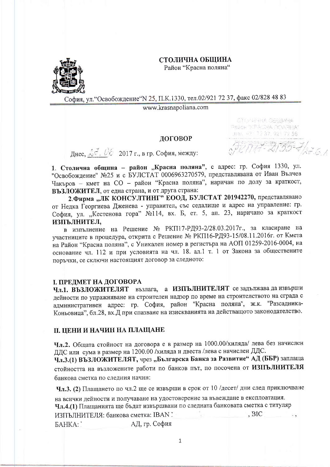### СТОЛИЧНА ОБШИНА

Район "Красна поляна"



София, ул. "Освобождение "N 25, П.К.1330, тел.02/921 72 37, факс 02/828 48 83

www.krasnapoliana.com

## ЛОГОВОР

max, 49: 72.37, 421.72.56  $\frac{1}{2}$  MM-2155-7/27.6.1

CTU/SP-RA GELHANA Page- TPACHA DOARHA"

Днес,  $\sqrt[4]{\cdot}$ ,  $\sqrt[6]{6}$  2017 г., в гр. София, между:

1. Столична община - район "Красна поляна", с адрес: гр. София 1330, ул. "Освобождение" №25 и с БУЛСТАТ 0006963270579, представлявана от Иван Вълчев Чакъров - кмет на СО - район "Красна поляна", наричан по долу за краткост, ВЪЗЛОЖИТЕЛ, от една страна, и от друга страна:

2. Фирма "ЛК КОНСУЛТИНГ" ЕООД, БУЛСТАТ 201942270, представлявано от Недка Георгиева Дженева - управител, със седалище и адрес на управление: гр. София, ул. "Кестенова гора" №114, вх. Б, ет. 5, ап. 23, наричано за краткост ИЗПЪЛНИТЕЛ,

в изпълнение на Решение № РКП17-РД93-2/28.03.2017г., за класиране на участниците в процедура, открита с Решение № РКП16-РД93-15/08.11.2016г. от Кмета на Район "Красна поляна", с Уникален номер в регистъра на АОП 01259-2016-0004, на основание чл. 112 и при условията на чл. 18. ал.1 т. 1 от Закона за обществените поръчки, се сключи настоящият договор за следното:

# І. ПРЕДМЕТ НА ДОГОВОРА

Чл.1. ВЪЗЛОЖИТЕЛЯТ възлага, а ИЗПЪЛНИТЕЛЯТ се задължава да извърши дейности по упражняване на строителен надзор по време на строителството на сграда с административен адрес: гр. София, район "Красна поляна", ж.к. "Разсадника-Коньовица", бл.28, вх.Д при спазване на изискванията на действащото законодателство.

# II. ЦЕНИ И НАЧИН НА ПЛАЩАНЕ

Чл.2. Общата стойност на договора е в размер на 1000.00/хиляда/ лева без начислен ДДС или сума в размер на 1200.00 /хиляда и двеста /лева с начислен ДДС.

Чл.3.(1) ВЪЗЛОЖИТЕЛЯТ, чрез "Българска Банка за Развитие" АД (ББР) заплаща стойността на възложените работи по банков път, по посочена от ИЗПЪЛНИТЕЛЯ банкова сметка по следния начин:

Чл.3. (2) Плащането по чл.2 ще се извърши в срок от 10 /десет/ дни след приключване

|               | на всички дейности и получаване на удостоверение за въвеждане в експлоатация.  |            |          |
|---------------|--------------------------------------------------------------------------------|------------|----------|
|               | Чл.4.(1) Плащанията ще бъдат извършвани по следната банковата сметка с титуляр |            |          |
|               | ИЗПЪЛНИТЕЛЯ: банкова сметка: IBAN !                                            | $\Box$ BIC | $\sim$ 9 |
| <b>BAHKA:</b> | АД, гр. София                                                                  |            |          |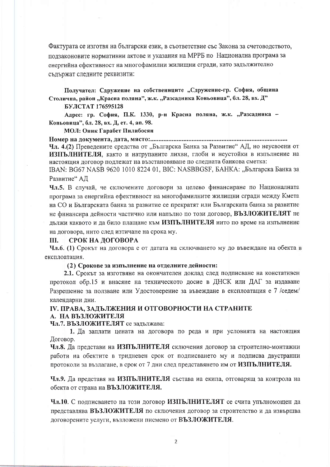Фактурата се изготвя на български език, в съответствие със Закона за счетоводството, ползаконовите нормативни актове и указания на МРРБ по Национална програма за енергийна ефективност на многофамилни жилищни сгради, като задължително съдържат следните реквизити:

Получател: Сдружение на собствениците "Сдружение-гр. София, община Столична, район "Красна поляна", ж.к. "Разсадника Коньовица", бл. 28, вх. Д"

БУЛСТАТ 176595128

Адрес: гр. София, П.К. 1330, р-н Красна поляна, ж.к. "Разсадника -Коньовица", бл. 28, вх. Д, ет. 4, ап. 98.

МОЛ: Оник Гарабет Пилибосян

Чл. 4.(2) Преведените средства от "Българска Банка за Развитие" АД, но неусвоени от ИЗПЪЛНИТЕЛЯ, както и натрупаните лихви, глоби и неустойки в изпълнение на настоящия договор подлежат на възстановяване по следната банкова сметка:

IBAN: BG67 NASB 9620 1010 8224 01, BIC: NASBBGSF, БАНКА: "Българска Банка за Развитие" АД

Чл.5. В случай, че сключените договори за целево финансиране по Националната програма за енергийна ефективност на многофамилните жилищни сгради между Кмета на СО и Българската банка за развитие се прекратят или Българската банка за развитие не финансира дейности частично или напълно по този договор, ВЪЗЛОЖИТЕЛЯТ не лължи каквото и да било плащане към ИЗПЪЛНИТЕЛЯ нито по време на изпълнение на договора, нито след изтичане на срока му.

#### СРОК НА ДОГОВОРА III.

Чл.6. (1) Срокът на договора е от датата на сключването му до въвеждане на обекта в експлоатация.

#### (2) Срокове за изпълнение на отделните дейности:

2.1. Срокът за изготвяне на окончателен доклад след подписване на констативен протокол обр.15 и внасяне на техническото досие в ДНСК или ДАГ за издаване Разрешение за ползване или Удостоверение за въвеждане в експлоатация е 7 /седем/ календарни дни.

## ІV. ПРАВА, ЗАДЪЛЖЕНИЯ И ОТГОВОРНОСТИ НА СТРАНИТЕ А. НА ВЪЗЛОЖИТЕЛЯ

Чл.7. ВЪЗЛОЖИТЕЛЯТ се залължава:

1. Да заплати цената на договора по реда и при условията на настоящия Договор.

Чл.8. Да представи на ИЗПЪЛНИТЕЛЯ сключения договор за строително-монтажни работи на обектите в тридневен срок от подписването му и подписва двустранни протоколи за възлагане, в срок от 7 дни след представянето им от ИЗПЪЛНИТЕЛЯ.

Чл.9. Да представя на ИЗПЪЛНИТЕЛЯ състава на екипа, отговарящ за контрола на обекта от страна на ВЪЗЛОЖИТЕЛЯ.

Чл.10. С подписването на този договор ИЗПЪЛНИТЕЛЯТ се счита упълномощен да представлява ВЪЗЛОЖИТЕЛЯ по сключения договор за строителство и да извършва договорените услуги, възложени писмено от ВЪЗЛОЖИТЕЛЯ.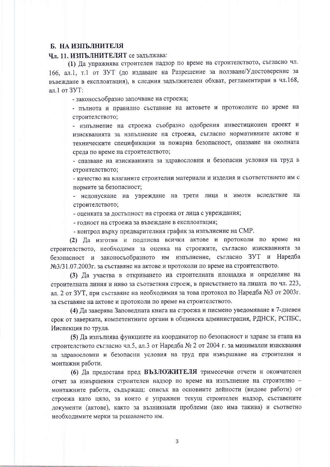# Б. НА ИЗПЪЛНИТЕЛЯ

### Чл. 11. ИЗПЪЛНИТЕЛЯТ се задължава:

(1) Да упражнява строителен надзор по време на строителството, съгласно чл. 166, ал.1, т.1 от ЗУТ (до издаване на Разрешение за ползване/Удостоверение за въвеждане в експлоатация), в следния задължителен обхват, регламентиран в чл.168, ал.1 от ЗУТ:

- законосъобразно започване на строежа;

- пълнота и правилно съставяне на актовете и протоколите по време на строителството;

- изпълнение на строежа съобразно одобрения инвестиционен проект и изискванията за изпълнение на строежа, съгласно нормативните актове и техническите спецификации за пожарна безопасност, опазване на околната среда по време на строителството;

- спазване на изискванията за здравословни и безопасни условия на труд в строителството;

- качество на влаганите строителни материали и изделия и съответствието им с нормите за безопасност:

- недопускане на увреждане на трети лица и имоти вследствие на строителството;

- оценката за достъпност на строежа от лица с увреждания;

- голност на строежа за въвеждане в експлоатация;

- контрол върху предварителния график за изпълнение на СМР.

(2) Да изготви и подписва всички актове и протоколи по време на строителството, необходими за оценка на строежите, съгласно изискванията за безопасност и законосъобразното им изпълнение, съгласно ЗУТ и Наредба №3/31.07.2003г. за съставяне на актове и протоколи по време на строителството.

(3) Да участва в откриването на строителната площадка и определяне на строителната линия и ниво за съответния строеж, в присъствието на лицата по чл. 223, ал. 2 от ЗУТ, при съставяне на необходимия за това протокол по Наредба №3 от 2003г. за съставяне на актове и протоколи по време на строителството.

(4) Да заверява Заповедната книга на строежа и писмено уведомяване в 7-дневен срок от заверката, компетентните органи в общинска администрация, РДНСК, РСПБС, Инспекция по труда.

(5) Да изпълнява функциите на координатор по безопасност и здраве за етапа на строителството съгласно чл.5, ал.3 от Наредба № 2 от 2004 г. за минимални изисквания за здравословни и безопасни условия на труд при извършване на строителни и монтажни работи.

(6) Да предоставя пред ВЪЗЛОЖИТЕЛЯ тримесечни отчети и окончателен отчет за извършения строителен надзор по време на изпълнение на строително монтажните работи, съдържащ: списък на основните дейности (видове работи) от строежа като цяло, за които е упражнен текущ строителен надзор, съставените документи (актове), както за възникнали проблеми (ако има такива) и съответно необходимите мерки за решаването им.

 $\overline{3}$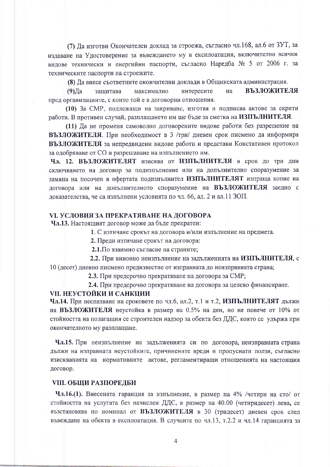(7) Да изготви Окончателен доклад за строежа, съгласно чл.168, ал.6 от ЗУТ, за издаване на Удостоверение за въвеждането му в експлоатация, включително всички видове технически и енергийни паспорти, съгласно Наредба № 5 от 2006 г. за техническите паспорти на строежите.

(8) Да внесе съответните окончателни доклади в Общинската администрация.

**ВЪЗЛОЖИТЕЛЯ**  $(9)$   $\text{Ia}$ интересите на зашитава максимално пред организациите, с които той е в договорни отношения.

(10) За СМР, подлежащи на закриване, изготвя и подписва актове за скрити работи. В противен случай, разплащането им ще бъде за сметка на ИЗПЪЛНИТЕЛЯ.

(11) Да не променя самоволно договорените видове работи без разрешение на ВЪЗЛОЖИТЕЛЯ. При необходимост в 3 /три/ дневен срок писмено да информира ВЪЗЛОЖИТЕЛЯ за непредвидени видове работи и представи Констативен протокол за одобряване от СО и разрешаване на изпълнението им.

Чл. 12. ВЪЗЛОЖИТЕЛЯТ изисква от ИЗПЪЛНИТЕЛЯ в срок до три дни сключването на договор за подизпълнение или на допълнително споразумение за замяна на посочен в офертата подизпълнител ИЗПЪЛНИТЕЛЯТ изпраща копие на договора или на допълнителното споразумение на ВЪЗЛОЖИТЕЛЯ заедно с доказателства, че са изпълнени условията по чл. 66, ал. 2 и ал. 11 ЗОП.

## **VI. УСЛОВИЯ ЗА ПРЕКРАТЯВАНЕ НА ДОГОВОРА**

Чл.13. Настоящият договор може да бъде прекратен:

1. С изтичане срокът на договора и/или изпълнение на предмета.

2. Преди изтичане срокът на договора:

2.1. По взаимно съгласие на страните;

2.2. При виновно неизпълнение на задълженията на ИЗПЪЛНИТЕЛЯ, с 10 (десет) дневно писмено предизвестие от изправната до неизправната страна;

2.3. При предсрочно прекратяване на договора за СМР;

2.4. При предсрочно прекратяване на договора за целево финансиране.

## **VII. НЕУСТОЙКИ И САНКЦИИ**

Чл.14. При неспазване на сроковете по чл.6, ал.2, т.1 и т.2, ИЗПЪЛНИТЕЛЯТ дължи на ВЪЗЛОЖИТЕЛЯ неустойка в размер на 0.5% на ден, но не повече от 10% от стойността на полагащия се строителен надзор за обекта без ДДС, която се удържа при окончателното му разплащане.

Чл.15. При неизпълнение на задълженията си по договора, неизправната страна дължи на изправната неустойките, причинените вреди и пропуснати ползи, съгласно изискванията на нормативните актове, регламентиращи отношенията на настоящия договор.

## **VIII. ОБЩИ РАЗПОРЕДБИ**

**Чл.16.(1).** Внесената гаранция за изпълнение, в размер на 4% /четири на сто/ от стойността на услугата без начислен ДДС, в размер на 40.00 (четиридесет) лева, се възстановява по номинал от ВЪЗЛОЖИТЕЛЯ в 30 (тридесет) дневен срок след въвеждане на обекта в експлоатация. В случаите по чл.13, т.2.2 и чл.14 гаранцията за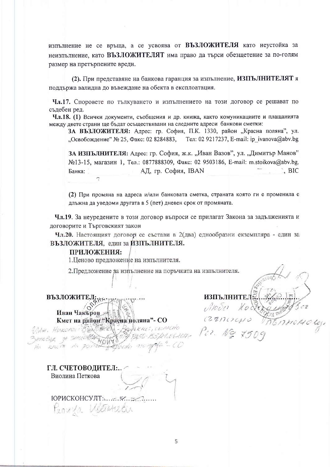изпълнение не се връща, а се усвоява от ВЪЗЛОЖИТЕЛЯ като неустойка за неизпълнение, като ВЪЗЛОЖИТЕЛЯТ има право да търси обезщетение за по-голям размер на претърпените вреди.

(2). При представяне на банкова гаранция за изпълнение, ИЗПЪЛНИТЕЛЯТ я поддържа валидна до въвеждане на обекта в експлоатация.

Чл.17. Споровете по тълкуването и изпълнението на този договор се решават по съдебен ред.

Чл.18. (1) Всички документи, съобщения и др. книжа, както комуникациите и плащанията между двете страни ще бъдат осъществявани на следните адреси банкови сметки:

ЗА ВЪЗЛОЖИТЕЛЯ: Адрес: гр. София, П.К. 1330, район "Красна поляна", ул. "Освобождение" № 25, Факс: 02 8284883, Тел: 02 9217237, E-mail: ip ivanova@abv.bg

ЗА ИЗПЪЛНИТЕЛЯ: Адрес: гр. София, ж.к. "Иван Вазов", ул. "Димитър Манов" №13-15, магазин 1, Тел.: 0877888309, Факс: 02 9503186, E-mail: m.stoikova@abv.bg, АД, гр. София, IBAN  $\hat{B}$ , BIC Банка:

(2) При промяна на адреса и/или банковата сметка, страната която ги е променила е длъжна да уведоми другата в 5 (пет) дневен срок от промяната.

Чл.19. За неуредените в този договор въпроси се прилагат Закона за задълженията и договорите и Търговският закон

Чл.20. Настоящият договор се състави в 2(два) еднообразни екземпляра - един за ВЪЗЛОЖИТЕЛЯ, един за ИЗПЪЛНИТЕЛЯ.

## ПРИЛОЖЕНИЯ:

1. Ценово предложение на изпълнителя.

2. Предложение за изпълнение на поръчката на изпълнителя.

**ВЪЗЛОЖИТЕЛ:** 

WHA. HIRODOL? BENSBERG - POCH X KE

mcBer 24  $200.78$ 

VIBRIT VAN CONTRACTES

**ИЗПЪЛНИТЕЛ:** 

ГЛ. СЧЕТОВОДИТЕЛ:.. Виолина Петкова

ЮРИСКОНСУЛТ:  $\mathscr{L}$ Pennza Vetarretin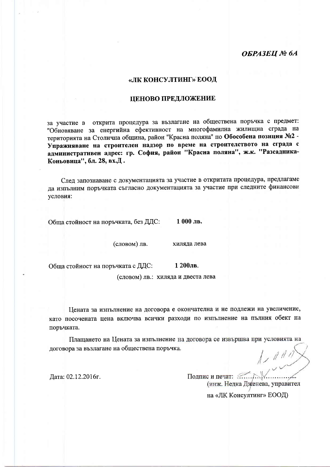# ОБРАЗЕЦ № 6А

## «ЛК КОНСУЛТИНГ» ЕООД

#### ЦЕНОВО ПРЕДЛОЖЕНИЕ

за участие в открита процедура за възлагане на обществена поръчка с предмет: "Обновяване за енергийна ефективност на многофамилна жилищна сграда на територията на Столична община, район "Красна поляна" по Обособена позиция №2 -Упражняване на строителен надзор по време на строителството на сграда с административен адрес: гр. София, район "Красна поляна", ж.к. "Разсадника-Коньовица", бл. 28, вх.Д.

След запознаване с документацията за участие в откритата процедура, предлагаме да изпълним поръчката съгласно документацията за участие при следните финансови условия:

Обша стойност на поръчката, без ДДС: 1 000 лв.

(словом) лв.

хиляда лева

Обща стойност на поръчката с ДДС:

1 200лв.

(словом) лв.: хиляда и двеста лева

Цената за изпълнение на договора е окончателна и не подлежи на увеличение, като посочената цена включва всички разходи по изпълнение на пълния обект на поръчката.

Плащането на Цената за изпълнение на договора се извършва при условията на договора за възлагане на обществена поръчка.  $1/111$ 

Дата: 02.12.2016г.

Подпис и печат: ..... (инж. Недка Дженева, управител

на «ЛК Консултинг» ЕООД)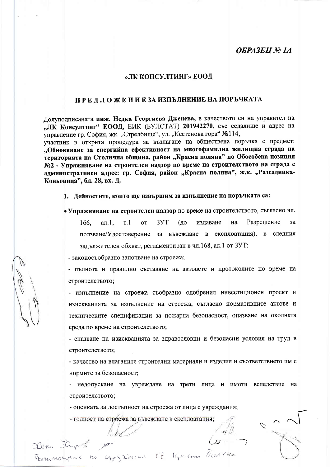# **OGPA3EII** Nº 1A

### »ЛК КОНСУЛТИНГ» ЕООД

# ПРЕДЛОЖЕНИЕЗА ИЗПЪЛНЕНИЕ НА ПОРЪЧКАТА

Долуподписаната инж. Недка Георгиева Дженева, в качеството си на управител на "ЛК Консултинг" ЕООД, ЕИК (БУЛСТАТ) 201942270, със седалище и адрес на управление гр. София, жк. "Стрелбище", ул. "Кестенова гора" №114,

участник в открита процедура за възлагане на обществена поръчка с предмет: "Обновяване за енергийна ефективност на многофамилна жилищна сграда на територията на Столична община, район "Красна поляна" по Обособена позиция №2 - Упражняване на строителен надзор по време на строителството на сграда с административен адрес: гр. София, район "Красна поляна", ж.к. "Разсадника-Коньовица", бл. 28, вх. Д.

1. Дейностите, които ще извършим за изпълнение на поръчката са:

• Упражняване на строителен надзор по време на строителството, съгласно чл.

Разрешение 166.  $a_{\Pi}$ .  $T.1$ **OT** 3YT  $(n<sub>1</sub>)$ излаване на  $3a$ ползване/Удостоверение за въвеждане в експлоатация), в следния задължителен обхват, регламентиран в чл.168, ал.1 от ЗУТ:

- законосъобразно започване на строежа;

- пълнота и правилно съставяне на актовете и протоколите по време на строителството;

- изпълнение на строежа съобразно одобрения инвестиционен проект и изискванията за изпълнение на строежа, съгласно нормативните актове и техническите спецификации за пожарна безопасност, опазване на околната среда по време на строителството;

- спазване на изискванията за здравословни и безопасни условия на труд в строителството;

- качество на влаганите строителни материали и изделия и съответствието им с нормите за безопасност;

- недопускане на увреждане на трети лица и имоти вследствие на строителството;

- оценката за достъпност на строежа от лица с увреждания;

- годност на строежа за въвеждане в експлоатация;

TERMONOLIANE KU CGPJKERLE LE KPACHE TRONTPHE

Hero Japol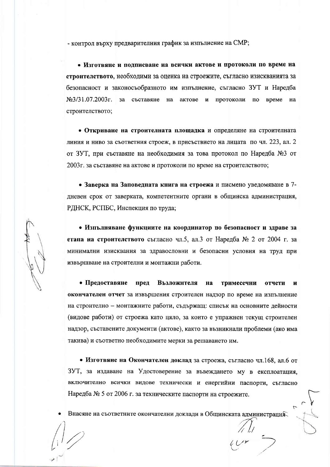- контрол върху предварителния график за изпълнение на СМР;

• Изготвяне и подписване на всички актове и протоколи по време на строителството, необходими за оценка на строежите, съгласно изискванията за безопасност и законосъобразното им изпълнение, съгласно ЗУТ и Наредба  $N_{2}/31.07.2003r$ . за съставяне на актове и протоколи по време на строителството;

• Откриване на строителната площадка и определяне на строителната линия и ниво за съответния строеж, в присъствието на лицата по чл. 223, ал. 2 от ЗУТ, при съставяне на необходимия за това протокол по Наредба №3 от 2003 г. за съставяне на актове и протоколи по време на строителството;

• Заверка на Заповедната книга на строежа и писмено уведомяване в 7дневен срок от заверката, компетентните органи в общинска администрация, РДНСК, РСПБС, Инспекция по труда;

• Изпълняване функциите на координатор по безопасност и здраве за етапа на строителството съгласно чл.5, ал.3 от Наредба № 2 от 2004 г. за минимални изисквания за здравословни и безопасни условия на труд при извършване на строителни и монтажни работи.

• Предоставяне пред Възложителя на тримесечни отчети  $\mathbf{M}$ окончателен отчет за извършения строителен надзор по време на изпълнение на строително - монтажните работи, съдържащ: списък на основните дейности (видове работи) от строежа като цяло, за които е упражнен текущ строителен надзор, съставените документи (актове), както за възникнали проблеми (ако има такива) и съответно необходимите мерки за решаването им.

• Изготвяне на Окончателен доклад за строежа, съгласно чл.168, ал.6 от ЗУТ, за издаване на Удостоверение за въвеждането му в експлоатация, включително всички видове технически и енергийни паспорти, съгласно Наредба № 5 от 2006 г. за техническите паспорти на строежите.

Внасяне на съответните окончателни доклади в Общинската администрация